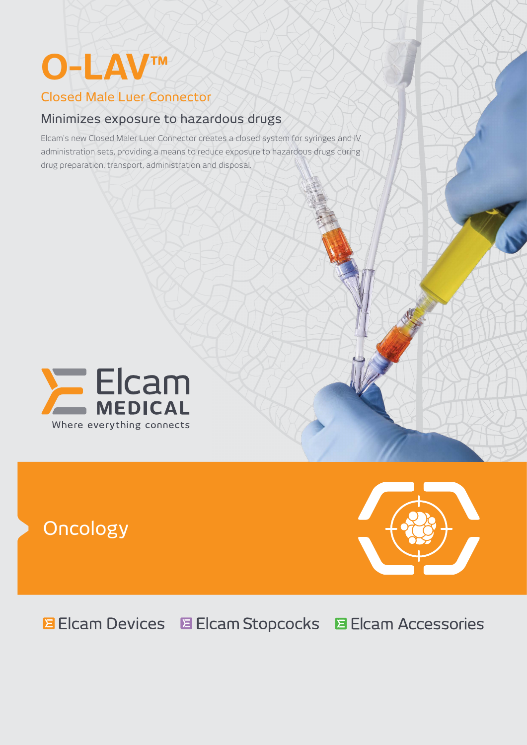# **O-LAV™**

# Closed Male Luer Connector

# Minimizes exposure to hazardous drugs

Elcam's new Closed Maler Luer Connector creates a closed system for syringes and IV administration sets, providing a means to reduce exposure to hazardous drugs during drug preparation, transport, administration and disposal.



# Oncology



**E** Elcam Devices **E** Elcam Stopcocks **El Cam Accessories**